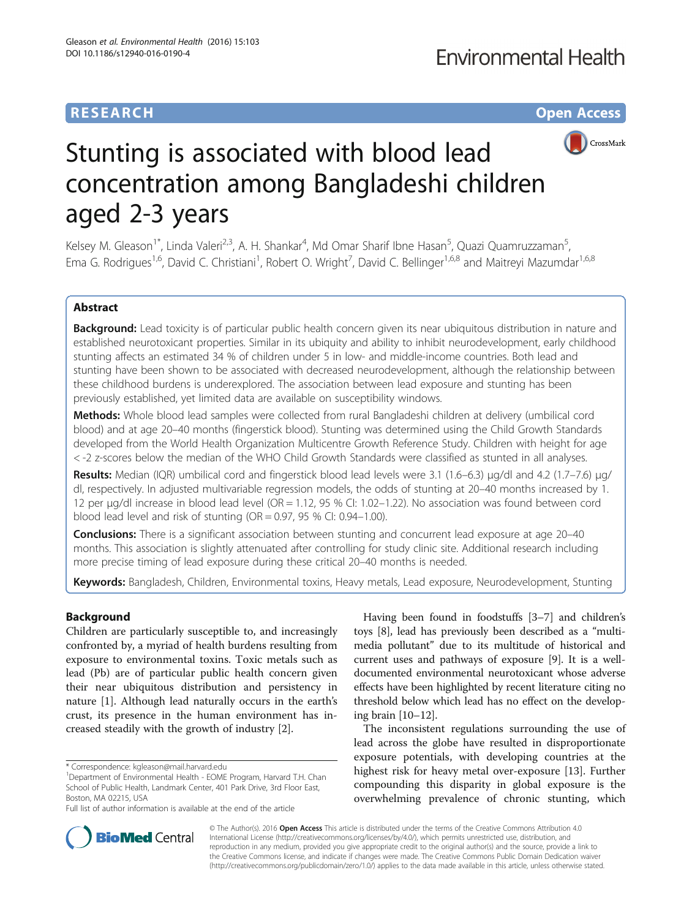## **RESEARCH CHE Open Access**



# Stunting is associated with blood lead concentration among Bangladeshi children aged 2-3 years

Kelsey M. Gleason<sup>1\*</sup>, Linda Valeri<sup>2,3</sup>, A. H. Shankar<sup>4</sup>, Md Omar Sharif Ibne Hasan<sup>5</sup>, Quazi Quamruzzaman<sup>5</sup> , Ema G. Rodrigues<sup>1,6</sup>, David C. Christiani<sup>1</sup>, Robert O. Wright<sup>7</sup>, David C. Bellinger<sup>1,6,8</sup> and Maitreyi Mazumdar<sup>1,6,8</sup>

## Abstract

Background: Lead toxicity is of particular public health concern given its near ubiquitous distribution in nature and established neurotoxicant properties. Similar in its ubiquity and ability to inhibit neurodevelopment, early childhood stunting affects an estimated 34 % of children under 5 in low- and middle-income countries. Both lead and stunting have been shown to be associated with decreased neurodevelopment, although the relationship between these childhood burdens is underexplored. The association between lead exposure and stunting has been previously established, yet limited data are available on susceptibility windows.

Methods: Whole blood lead samples were collected from rural Bangladeshi children at delivery (umbilical cord blood) and at age 20–40 months (fingerstick blood). Stunting was determined using the Child Growth Standards developed from the World Health Organization Multicentre Growth Reference Study. Children with height for age < -2 z-scores below the median of the WHO Child Growth Standards were classified as stunted in all analyses.

Results: Median (IQR) umbilical cord and fingerstick blood lead levels were 3.1 (1.6-6.3) μg/dl and 4.2 (1.7-7.6) μg/ dl, respectively. In adjusted multivariable regression models, the odds of stunting at 20–40 months increased by 1. 12 per μg/dl increase in blood lead level (OR = 1.12, 95 % CI: 1.02–1.22). No association was found between cord blood lead level and risk of stunting (OR =  $0.97$ , 95 % CI: 0.94–1.00).

**Conclusions:** There is a significant association between stunting and concurrent lead exposure at age 20–40 months. This association is slightly attenuated after controlling for study clinic site. Additional research including more precise timing of lead exposure during these critical 20–40 months is needed.

Keywords: Bangladesh, Children, Environmental toxins, Heavy metals, Lead exposure, Neurodevelopment, Stunting

## Background

Children are particularly susceptible to, and increasingly confronted by, a myriad of health burdens resulting from exposure to environmental toxins. Toxic metals such as lead (Pb) are of particular public health concern given their near ubiquitous distribution and persistency in nature [[1\]](#page-7-0). Although lead naturally occurs in the earth's crust, its presence in the human environment has increased steadily with the growth of industry [\[2](#page-7-0)].

Having been found in foodstuffs [[3](#page-7-0)–[7](#page-7-0)] and children's toys [\[8\]](#page-7-0), lead has previously been described as a "multimedia pollutant" due to its multitude of historical and current uses and pathways of exposure [\[9](#page-7-0)]. It is a welldocumented environmental neurotoxicant whose adverse effects have been highlighted by recent literature citing no threshold below which lead has no effect on the developing brain [\[10](#page-7-0)–[12](#page-7-0)].

The inconsistent regulations surrounding the use of lead across the globe have resulted in disproportionate exposure potentials, with developing countries at the highest risk for heavy metal over-exposure [\[13\]](#page-7-0). Further compounding this disparity in global exposure is the overwhelming prevalence of chronic stunting, which



© The Author(s). 2016 **Open Access** This article is distributed under the terms of the Creative Commons Attribution 4.0 International License [\(http://creativecommons.org/licenses/by/4.0/](http://creativecommons.org/licenses/by/4.0/)), which permits unrestricted use, distribution, and reproduction in any medium, provided you give appropriate credit to the original author(s) and the source, provide a link to the Creative Commons license, and indicate if changes were made. The Creative Commons Public Domain Dedication waiver [\(http://creativecommons.org/publicdomain/zero/1.0/](http://creativecommons.org/publicdomain/zero/1.0/)) applies to the data made available in this article, unless otherwise stated.

<sup>\*</sup> Correspondence: [kgleason@mail.harvard.edu](mailto:kgleason@mail.harvard.edu) <sup>1</sup>

<sup>&</sup>lt;sup>1</sup>Department of Environmental Health - EOME Program, Harvard T.H. Chan School of Public Health, Landmark Center, 401 Park Drive, 3rd Floor East, Boston, MA 02215, USA

Full list of author information is available at the end of the article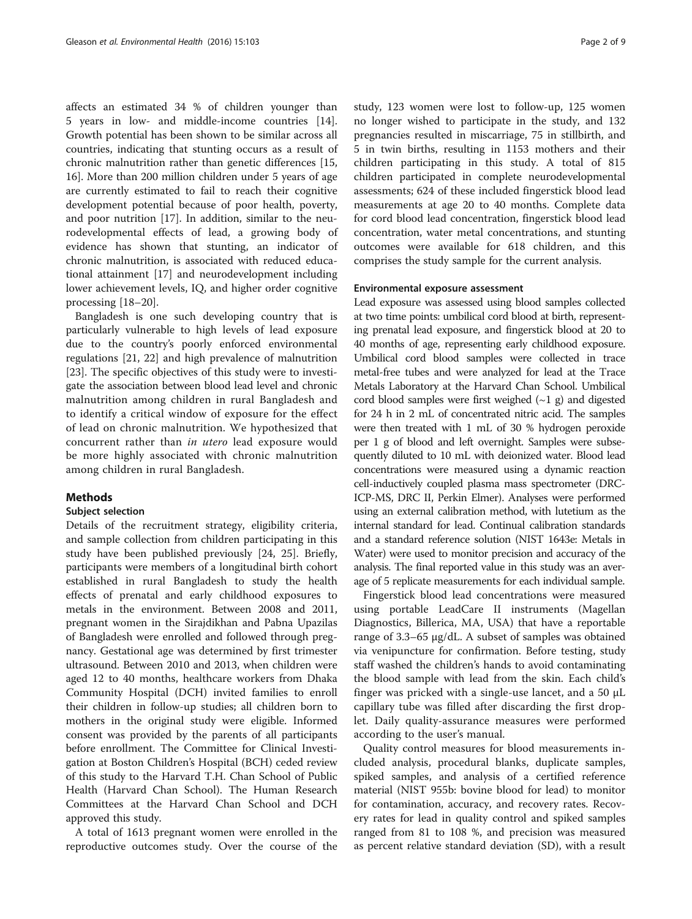affects an estimated 34 % of children younger than 5 years in low- and middle-income countries [\[14](#page-7-0)]. Growth potential has been shown to be similar across all countries, indicating that stunting occurs as a result of chronic malnutrition rather than genetic differences [[15](#page-7-0), [16\]](#page-7-0). More than 200 million children under 5 years of age are currently estimated to fail to reach their cognitive development potential because of poor health, poverty, and poor nutrition [\[17](#page-7-0)]. In addition, similar to the neurodevelopmental effects of lead, a growing body of evidence has shown that stunting, an indicator of chronic malnutrition, is associated with reduced educational attainment [[17](#page-7-0)] and neurodevelopment including lower achievement levels, IQ, and higher order cognitive processing [[18](#page-7-0)–[20](#page-8-0)].

Bangladesh is one such developing country that is particularly vulnerable to high levels of lead exposure due to the country's poorly enforced environmental regulations [[21](#page-8-0), [22\]](#page-8-0) and high prevalence of malnutrition [[23\]](#page-8-0). The specific objectives of this study were to investigate the association between blood lead level and chronic malnutrition among children in rural Bangladesh and to identify a critical window of exposure for the effect of lead on chronic malnutrition. We hypothesized that concurrent rather than in utero lead exposure would be more highly associated with chronic malnutrition among children in rural Bangladesh.

## **Methods**

### Subject selection

Details of the recruitment strategy, eligibility criteria, and sample collection from children participating in this study have been published previously [\[24, 25\]](#page-8-0). Briefly, participants were members of a longitudinal birth cohort established in rural Bangladesh to study the health effects of prenatal and early childhood exposures to metals in the environment. Between 2008 and 2011, pregnant women in the Sirajdikhan and Pabna Upazilas of Bangladesh were enrolled and followed through pregnancy. Gestational age was determined by first trimester ultrasound. Between 2010 and 2013, when children were aged 12 to 40 months, healthcare workers from Dhaka Community Hospital (DCH) invited families to enroll their children in follow-up studies; all children born to mothers in the original study were eligible. Informed consent was provided by the parents of all participants before enrollment. The Committee for Clinical Investigation at Boston Children's Hospital (BCH) ceded review of this study to the Harvard T.H. Chan School of Public Health (Harvard Chan School). The Human Research Committees at the Harvard Chan School and DCH approved this study.

A total of 1613 pregnant women were enrolled in the reproductive outcomes study. Over the course of the study, 123 women were lost to follow-up, 125 women no longer wished to participate in the study, and 132 pregnancies resulted in miscarriage, 75 in stillbirth, and 5 in twin births, resulting in 1153 mothers and their children participating in this study. A total of 815 children participated in complete neurodevelopmental assessments; 624 of these included fingerstick blood lead measurements at age 20 to 40 months. Complete data for cord blood lead concentration, fingerstick blood lead concentration, water metal concentrations, and stunting outcomes were available for 618 children, and this comprises the study sample for the current analysis.

## Environmental exposure assessment

Lead exposure was assessed using blood samples collected at two time points: umbilical cord blood at birth, representing prenatal lead exposure, and fingerstick blood at 20 to 40 months of age, representing early childhood exposure. Umbilical cord blood samples were collected in trace metal-free tubes and were analyzed for lead at the Trace Metals Laboratory at the Harvard Chan School. Umbilical cord blood samples were first weighed  $(-1, g)$  and digested for 24 h in 2 mL of concentrated nitric acid. The samples were then treated with 1 mL of 30 % hydrogen peroxide per 1 g of blood and left overnight. Samples were subsequently diluted to 10 mL with deionized water. Blood lead concentrations were measured using a dynamic reaction cell-inductively coupled plasma mass spectrometer (DRC-ICP-MS, DRC II, Perkin Elmer). Analyses were performed using an external calibration method, with lutetium as the internal standard for lead. Continual calibration standards and a standard reference solution (NIST 1643e: Metals in Water) were used to monitor precision and accuracy of the analysis. The final reported value in this study was an average of 5 replicate measurements for each individual sample.

Fingerstick blood lead concentrations were measured using portable LeadCare II instruments (Magellan Diagnostics, Billerica, MA, USA) that have a reportable range of 3.3–65 μg/dL. A subset of samples was obtained via venipuncture for confirmation. Before testing, study staff washed the children's hands to avoid contaminating the blood sample with lead from the skin. Each child's finger was pricked with a single-use lancet, and a 50 μL capillary tube was filled after discarding the first droplet. Daily quality-assurance measures were performed according to the user's manual.

Quality control measures for blood measurements included analysis, procedural blanks, duplicate samples, spiked samples, and analysis of a certified reference material (NIST 955b: bovine blood for lead) to monitor for contamination, accuracy, and recovery rates. Recovery rates for lead in quality control and spiked samples ranged from 81 to 108 %, and precision was measured as percent relative standard deviation (SD), with a result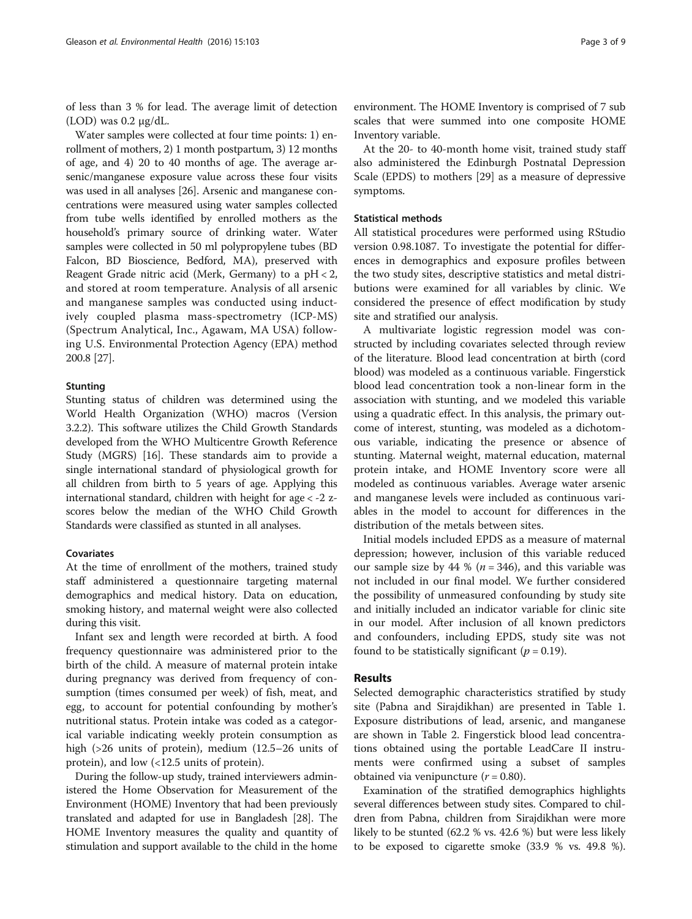of less than 3 % for lead. The average limit of detection  $(LOD)$  was 0.2 μg/dL.

Water samples were collected at four time points: 1) enrollment of mothers, 2) 1 month postpartum, 3) 12 months of age, and 4) 20 to 40 months of age. The average arsenic/manganese exposure value across these four visits was used in all analyses [[26](#page-8-0)]. Arsenic and manganese concentrations were measured using water samples collected from tube wells identified by enrolled mothers as the household's primary source of drinking water. Water samples were collected in 50 ml polypropylene tubes (BD Falcon, BD Bioscience, Bedford, MA), preserved with Reagent Grade nitric acid (Merk, Germany) to a pH < 2, and stored at room temperature. Analysis of all arsenic and manganese samples was conducted using inductively coupled plasma mass-spectrometry (ICP-MS) (Spectrum Analytical, Inc., Agawam, MA USA) following U.S. Environmental Protection Agency (EPA) method 200.8 [[27](#page-8-0)].

## **Stunting**

Stunting status of children was determined using the World Health Organization (WHO) macros (Version 3.2.2). This software utilizes the Child Growth Standards developed from the WHO Multicentre Growth Reference Study (MGRS) [[16](#page-7-0)]. These standards aim to provide a single international standard of physiological growth for all children from birth to 5 years of age. Applying this international standard, children with height for age < -2 zscores below the median of the WHO Child Growth Standards were classified as stunted in all analyses.

## Covariates

At the time of enrollment of the mothers, trained study staff administered a questionnaire targeting maternal demographics and medical history. Data on education, smoking history, and maternal weight were also collected during this visit.

Infant sex and length were recorded at birth. A food frequency questionnaire was administered prior to the birth of the child. A measure of maternal protein intake during pregnancy was derived from frequency of consumption (times consumed per week) of fish, meat, and egg, to account for potential confounding by mother's nutritional status. Protein intake was coded as a categorical variable indicating weekly protein consumption as high (>26 units of protein), medium (12.5–26 units of protein), and low (<12.5 units of protein).

During the follow-up study, trained interviewers administered the Home Observation for Measurement of the Environment (HOME) Inventory that had been previously translated and adapted for use in Bangladesh [\[28\]](#page-8-0). The HOME Inventory measures the quality and quantity of stimulation and support available to the child in the home

environment. The HOME Inventory is comprised of 7 sub scales that were summed into one composite HOME Inventory variable.

At the 20- to 40-month home visit, trained study staff also administered the Edinburgh Postnatal Depression Scale (EPDS) to mothers [[29\]](#page-8-0) as a measure of depressive symptoms.

## Statistical methods

All statistical procedures were performed using RStudio version 0.98.1087. To investigate the potential for differences in demographics and exposure profiles between the two study sites, descriptive statistics and metal distributions were examined for all variables by clinic. We considered the presence of effect modification by study site and stratified our analysis.

A multivariate logistic regression model was constructed by including covariates selected through review of the literature. Blood lead concentration at birth (cord blood) was modeled as a continuous variable. Fingerstick blood lead concentration took a non-linear form in the association with stunting, and we modeled this variable using a quadratic effect. In this analysis, the primary outcome of interest, stunting, was modeled as a dichotomous variable, indicating the presence or absence of stunting. Maternal weight, maternal education, maternal protein intake, and HOME Inventory score were all modeled as continuous variables. Average water arsenic and manganese levels were included as continuous variables in the model to account for differences in the distribution of the metals between sites.

Initial models included EPDS as a measure of maternal depression; however, inclusion of this variable reduced our sample size by 44 % ( $n = 346$ ), and this variable was not included in our final model. We further considered the possibility of unmeasured confounding by study site and initially included an indicator variable for clinic site in our model. After inclusion of all known predictors and confounders, including EPDS, study site was not found to be statistically significant ( $p = 0.19$ ).

## Results

Selected demographic characteristics stratified by study site (Pabna and Sirajdikhan) are presented in Table [1](#page-3-0). Exposure distributions of lead, arsenic, and manganese are shown in Table [2](#page-3-0). Fingerstick blood lead concentrations obtained using the portable LeadCare II instruments were confirmed using a subset of samples obtained via venipuncture  $(r = 0.80)$ .

Examination of the stratified demographics highlights several differences between study sites. Compared to children from Pabna, children from Sirajdikhan were more likely to be stunted (62.2 % vs. 42.6 %) but were less likely to be exposed to cigarette smoke (33.9 % vs. 49.8 %).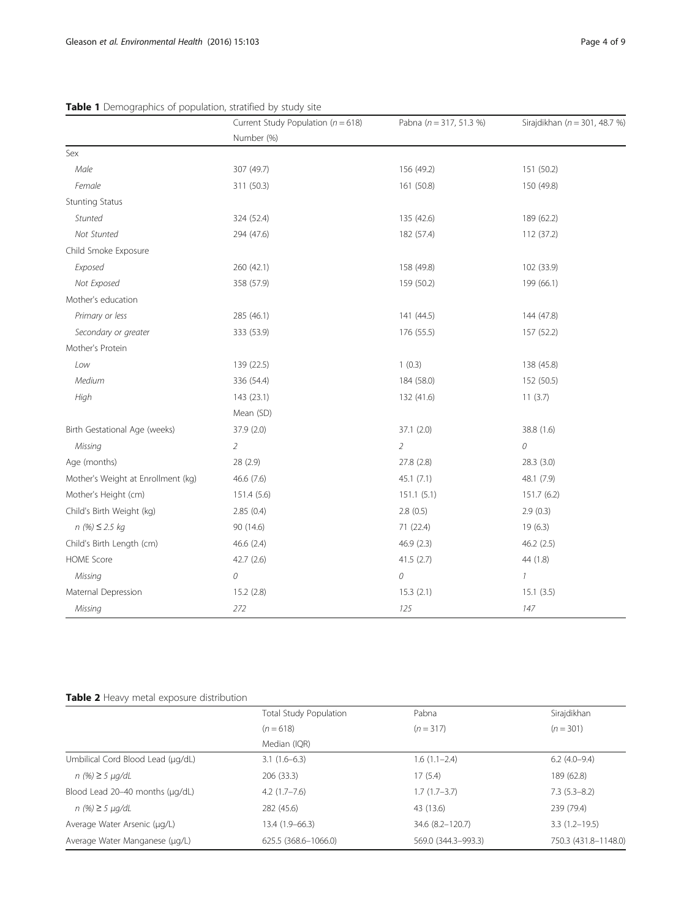|                                    | Current Study Population ( $n = 618$ ) | Pabna ( $n = 317, 51.3$ %) | Sirajdikhan (n = 301, 48.7 %) |
|------------------------------------|----------------------------------------|----------------------------|-------------------------------|
|                                    | Number (%)                             |                            |                               |
| Sex                                |                                        |                            |                               |
| Male                               | 307 (49.7)                             | 156 (49.2)                 | 151 (50.2)                    |
| Female                             | 311 (50.3)                             | 161 (50.8)                 | 150 (49.8)                    |
| <b>Stunting Status</b>             |                                        |                            |                               |
| Stunted                            | 324 (52.4)                             | 135 (42.6)                 | 189 (62.2)                    |
| Not Stunted                        | 294 (47.6)                             | 182 (57.4)                 | 112 (37.2)                    |
| Child Smoke Exposure               |                                        |                            |                               |
| Exposed                            | 260 (42.1)                             | 158 (49.8)                 | 102 (33.9)                    |
| Not Exposed                        | 358 (57.9)                             | 159 (50.2)                 | 199 (66.1)                    |
| Mother's education                 |                                        |                            |                               |
| Primary or less                    | 285 (46.1)                             | 141 (44.5)                 | 144 (47.8)                    |
| Secondary or greater               | 333 (53.9)                             | 176 (55.5)                 | 157 (52.2)                    |
| Mother's Protein                   |                                        |                            |                               |
| Low                                | 139 (22.5)                             | 1(0.3)                     | 138 (45.8)                    |
| Medium                             | 336 (54.4)                             | 184 (58.0)                 | 152 (50.5)                    |
| High                               | 143 (23.1)                             | 132 (41.6)                 | 11(3.7)                       |
|                                    | Mean (SD)                              |                            |                               |
| Birth Gestational Age (weeks)      | 37.9 (2.0)                             | 37.1(2.0)                  | 38.8 (1.6)                    |
| Missing                            | $\overline{2}$                         | $\overline{2}$             | 0                             |
| Age (months)                       | 28 (2.9)                               | 27.8 (2.8)                 | 28.3 (3.0)                    |
| Mother's Weight at Enrollment (kg) | 46.6 (7.6)                             | 45.1(7.1)                  | 48.1 (7.9)                    |
| Mother's Height (cm)               | 151.4 (5.6)                            | 151.1(5.1)                 | 151.7(6.2)                    |
| Child's Birth Weight (kg)          | 2.85(0.4)                              | 2.8(0.5)                   | 2.9(0.3)                      |
| $n(%) \leq 2.5 kg$                 | 90 (14.6)                              | 71 (22.4)                  | 19(6.3)                       |
| Child's Birth Length (cm)          | 46.6 (2.4)                             | 46.9 (2.3)                 | 46.2 (2.5)                    |
| <b>HOME Score</b>                  | 42.7(2.6)                              | 41.5(2.7)                  | 44 (1.8)                      |
| Missing                            | 0                                      | $\mathcal O$               | $\mathcal{I}$                 |
| Maternal Depression                | 15.2(2.8)                              | 15.3(2.1)                  | 15.1(3.5)                     |
| Missing                            | 272                                    | 125                        | 147                           |

## <span id="page-3-0"></span>Table 1 Demographics of population, stratified by study site

## Table 2 Heavy metal exposure distribution

|                                   | Total Study Population | Pabna               | Sirajdikhan          |  |
|-----------------------------------|------------------------|---------------------|----------------------|--|
|                                   | $(n = 618)$            | $(n=317)$           | $(n = 301)$          |  |
|                                   | Median (IQR)           |                     |                      |  |
| Umbilical Cord Blood Lead (µg/dL) | $3.1(1.6-6.3)$         | $1.6(1.1-2.4)$      | $6.2(4.0-9.4)$       |  |
| $n$ (%) ≥ 5 µg/dL                 | 206 (33.3)             | 17(5.4)             | 189 (62.8)           |  |
| Blood Lead 20-40 months (µg/dL)   | $4.2(1.7-7.6)$         | $1.7(1.7-3.7)$      | $7.3(5.3-8.2)$       |  |
| $n$ (%) ≥ 5 µg/dL                 | 282 (45.6)             | 43 (13.6)           | 239 (79.4)           |  |
| Average Water Arsenic (µg/L)      | $13.4(1.9-66.3)$       | 34.6 (8.2-120.7)    | $3.3(1.2 - 19.5)$    |  |
| Average Water Manganese (µg/L)    | 625.5 (368.6-1066.0)   | 569.0 (344.3-993.3) | 750.3 (431.8-1148.0) |  |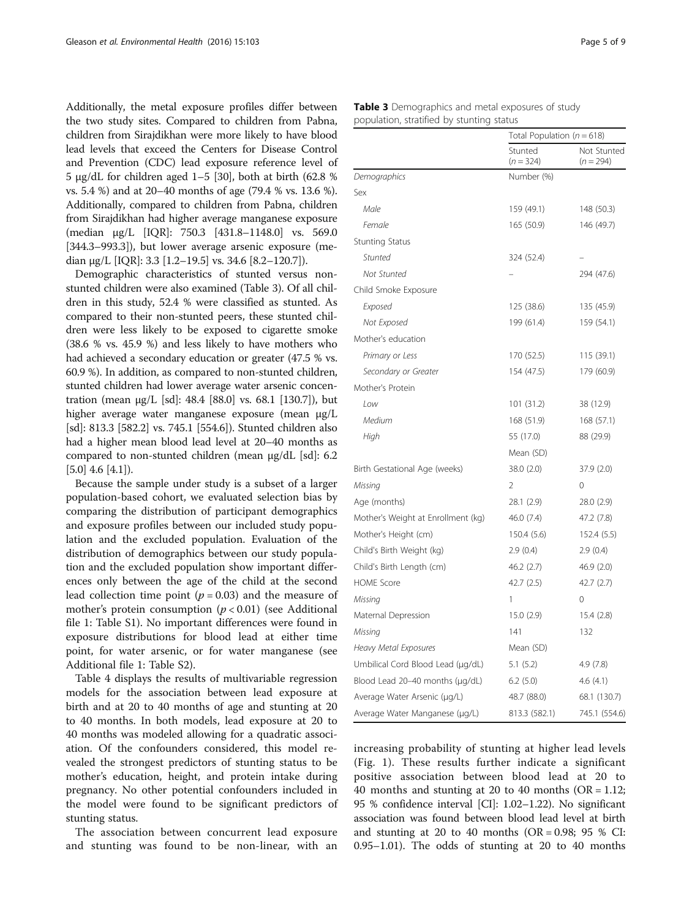Additionally, the metal exposure profiles differ between the two study sites. Compared to children from Pabna, children from Sirajdikhan were more likely to have blood lead levels that exceed the Centers for Disease Control and Prevention (CDC) lead exposure reference level of 5 μg/dL for children aged 1–5 [\[30\]](#page-8-0), both at birth (62.8 % vs. 5.4 %) and at 20–40 months of age (79.4 % vs. 13.6 %). Additionally, compared to children from Pabna, children from Sirajdikhan had higher average manganese exposure (median μg/L [IQR]: 750.3 [431.8–1148.0] vs. 569.0 [344.3–993.3]), but lower average arsenic exposure (median μg/L [IQR]: 3.3 [1.2–19.5] vs. 34.6 [8.2–120.7]).

Demographic characteristics of stunted versus nonstunted children were also examined (Table 3). Of all children in this study, 52.4 % were classified as stunted. As compared to their non-stunted peers, these stunted children were less likely to be exposed to cigarette smoke (38.6 % vs. 45.9 %) and less likely to have mothers who had achieved a secondary education or greater (47.5 % vs. 60.9 %). In addition, as compared to non-stunted children, stunted children had lower average water arsenic concentration (mean μg/L [sd]: 48.4 [88.0] vs. 68.1 [130.7]), but higher average water manganese exposure (mean μg/L [sd]: 813.3 [582.2] vs. 745.1 [554.6]). Stunted children also had a higher mean blood lead level at 20–40 months as compared to non-stunted children (mean μg/dL [sd]: 6.2  $[5.0]$  4.6  $[4.1]$ ).

Because the sample under study is a subset of a larger population-based cohort, we evaluated selection bias by comparing the distribution of participant demographics and exposure profiles between our included study population and the excluded population. Evaluation of the distribution of demographics between our study population and the excluded population show important differences only between the age of the child at the second lead collection time point ( $p = 0.03$ ) and the measure of mother's protein consumption ( $p < 0.01$ ) (see Additional file [1](#page-7-0): Table S1). No important differences were found in exposure distributions for blood lead at either time point, for water arsenic, or for water manganese (see Additional file [1:](#page-7-0) Table S2).

Table [4](#page-5-0) displays the results of multivariable regression models for the association between lead exposure at birth and at 20 to 40 months of age and stunting at 20 to 40 months. In both models, lead exposure at 20 to 40 months was modeled allowing for a quadratic association. Of the confounders considered, this model revealed the strongest predictors of stunting status to be mother's education, height, and protein intake during pregnancy. No other potential confounders included in the model were found to be significant predictors of stunting status.

The association between concurrent lead exposure and stunting was found to be non-linear, with an

|                                           | <b>Table 3</b> Demographics and metal exposures of study |
|-------------------------------------------|----------------------------------------------------------|
| population, stratified by stunting status |                                                          |

|                                    |                        | Total Population ( $n = 618$ ) |  |
|------------------------------------|------------------------|--------------------------------|--|
|                                    | Stunted<br>$(n = 324)$ | Not Stunted<br>$(n = 294)$     |  |
| Demographics                       | Number (%)             |                                |  |
| Sex                                |                        |                                |  |
| Male                               | 159 (49.1)             | 148 (50.3)                     |  |
| Female                             | 165(50.9)              | 146 (49.7)                     |  |
| <b>Stunting Status</b>             |                        |                                |  |
| Stunted                            | 324 (52.4)             |                                |  |
| Not Stunted                        |                        | 294 (47.6)                     |  |
| Child Smoke Exposure               |                        |                                |  |
| Exposed                            | 125 (38.6)             | 135 (45.9)                     |  |
| Not Exposed                        | 199 (61.4)             | 159 (54.1)                     |  |
| Mother's education                 |                        |                                |  |
| Primary or Less                    | 170 (52.5)             | 115 (39.1)                     |  |
| Secondary or Greater               | 154 (47.5)             | 179 (60.9)                     |  |
| Mother's Protein                   |                        |                                |  |
| Low                                | 101 (31.2)             | 38 (12.9)                      |  |
| Medium                             | 168 (51.9)             | 168 (57.1)                     |  |
| High                               | 55 (17.0)              | 88 (29.9)                      |  |
|                                    | Mean (SD)              |                                |  |
| Birth Gestational Age (weeks)      | 38.0 (2.0)             | 37.9 (2.0)                     |  |
| Missing                            | 2                      | 0                              |  |
| Age (months)                       | 28.1 (2.9)             | 28.0(2.9)                      |  |
| Mother's Weight at Enrollment (kg) | 46.0 (7.4)             | 47.2 (7.8)                     |  |
| Mother's Height (cm)               | 150.4 (5.6)            | 152.4 (5.5)                    |  |
| Child's Birth Weight (kg)          | 2.9(0.4)               | 2.9(0.4)                       |  |
| Child's Birth Length (cm)          | 46.2 (2.7)             | 46.9 (2.0)                     |  |
| <b>HOME Score</b>                  | 42.7(2.5)              | 42.7(2.7)                      |  |
| Missing                            | 1                      | 0                              |  |
| Maternal Depression                | 15.0(2.9)              | 15.4(2.8)                      |  |
| Missing                            | 141                    | 132                            |  |
| <b>Heavy Metal Exposures</b>       | Mean (SD)              |                                |  |
| Umbilical Cord Blood Lead (µg/dL)  | 5.1(5.2)               | 4.9(7.8)                       |  |
| Blood Lead 20-40 months (µg/dL)    | 6.2(5.0)               | 4.6(4.1)                       |  |
| Average Water Arsenic (µg/L)       | 48.7 (88.0)            | 68.1 (130.7)                   |  |
| Average Water Manganese (µg/L)     | 813.3 (582.1)          | 745.1 (554.6)                  |  |

increasing probability of stunting at higher lead levels (Fig. [1](#page-5-0)). These results further indicate a significant positive association between blood lead at 20 to 40 months and stunting at 20 to 40 months ( $OR = 1.12$ ; 95 % confidence interval [CI]: 1.02–1.22). No significant association was found between blood lead level at birth and stunting at 20 to 40 months ( $OR = 0.98$ ; 95 % CI: 0.95–1.01). The odds of stunting at 20 to 40 months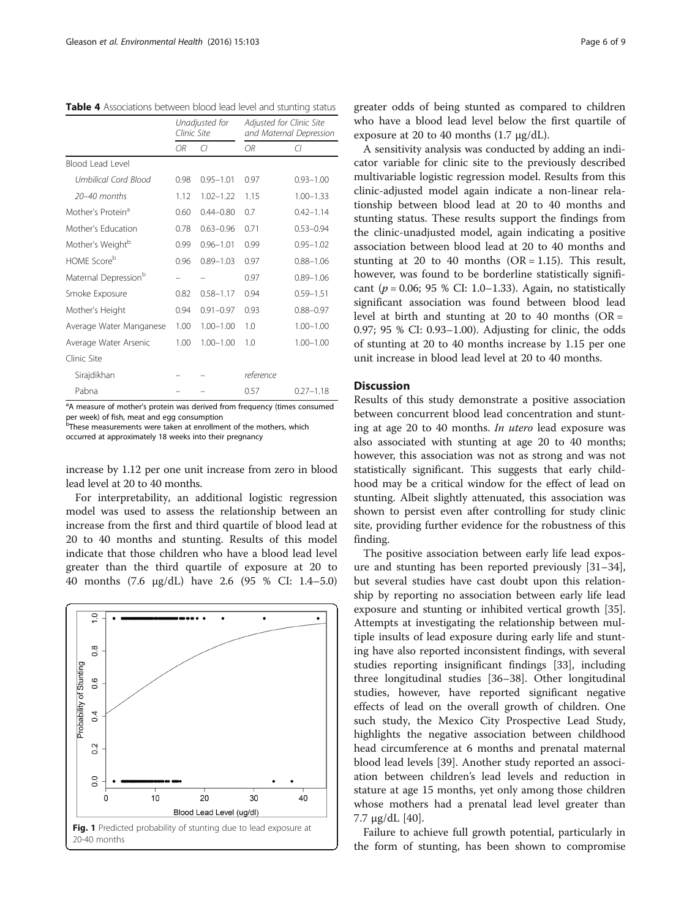<span id="page-5-0"></span>Table 4 Associations between blood lead level and stunting status

|                                  | Unadjusted for<br>Clinic Site |               | Adjusted for Clinic Site<br>and Maternal Depression |               |
|----------------------------------|-------------------------------|---------------|-----------------------------------------------------|---------------|
|                                  | OR.                           | C             | OR.                                                 | CI            |
| Blood Lead Level                 |                               |               |                                                     |               |
| Umbilical Cord Blood             | 0.98                          | $0.95 - 1.01$ | 0.97                                                | $0.93 - 1.00$ |
| $20-40$ months                   | 1.12                          | $1.02 - 1.22$ | 1.15                                                | $1.00 - 1.33$ |
| Mother's Protein <sup>a</sup>    | 0.60                          | $0.44 - 0.80$ | 0.7                                                 | $0.42 - 1.14$ |
| Mother's Education               | 0.78                          | $0.63 - 0.96$ | 0.71                                                | $0.53 - 0.94$ |
| Mother's Weight <sup>b</sup>     | 0.99                          | $0.96 - 1.01$ | 0.99                                                | $0.95 - 1.02$ |
| HOME Scoreb                      | 0.96                          | $0.89 - 1.03$ | 0.97                                                | $0.88 - 1.06$ |
| Maternal Depression <sup>b</sup> |                               |               | 0.97                                                | $0.89 - 1.06$ |
| Smoke Exposure                   | 0.82                          | $0.58 - 1.17$ | 0.94                                                | $0.59 - 1.51$ |
| Mother's Height                  | 0.94                          | $0.91 - 0.97$ | 0.93                                                | $0.88 - 0.97$ |
| Average Water Manganese          | 1.00                          | $1.00 - 1.00$ | 1.0                                                 | $1.00 - 1.00$ |
| Average Water Arsenic            | 1.00                          | $1.00 - 1.00$ | 1.0                                                 | $1.00 - 1.00$ |
| Clinic Site                      |                               |               |                                                     |               |
| Sirajdikhan                      |                               |               | reference                                           |               |
| Pabna                            |                               |               | 0.57                                                | $0.27 - 1.18$ |

<sup>a</sup>A measure of mother's protein was derived from frequency (times consumed per week) of fish, meat and egg consumption

**b**These measurements were taken at enrollment of the mothers, which occurred at approximately 18 weeks into their pregnancy

increase by 1.12 per one unit increase from zero in blood lead level at 20 to 40 months.

For interpretability, an additional logistic regression model was used to assess the relationship between an increase from the first and third quartile of blood lead at 20 to 40 months and stunting. Results of this model indicate that those children who have a blood lead level greater than the third quartile of exposure at 20 to 40 months (7.6 μg/dL) have 2.6 (95 % CI: 1.4–5.0)



greater odds of being stunted as compared to children who have a blood lead level below the first quartile of exposure at 20 to 40 months  $(1.7 \mu g/dL)$ .

A sensitivity analysis was conducted by adding an indicator variable for clinic site to the previously described multivariable logistic regression model. Results from this clinic-adjusted model again indicate a non-linear relationship between blood lead at 20 to 40 months and stunting status. These results support the findings from the clinic-unadjusted model, again indicating a positive association between blood lead at 20 to 40 months and stunting at 20 to 40 months ( $OR = 1.15$ ). This result, however, was found to be borderline statistically significant ( $p = 0.06$ ; 95 % CI: 1.0–1.33). Again, no statistically significant association was found between blood lead level at birth and stunting at 20 to 40 months ( $OR =$ 0.97; 95 % CI: 0.93–1.00). Adjusting for clinic, the odds of stunting at 20 to 40 months increase by 1.15 per one unit increase in blood lead level at 20 to 40 months.

## **Discussion**

Results of this study demonstrate a positive association between concurrent blood lead concentration and stunting at age 20 to 40 months. In utero lead exposure was also associated with stunting at age 20 to 40 months; however, this association was not as strong and was not statistically significant. This suggests that early childhood may be a critical window for the effect of lead on stunting. Albeit slightly attenuated, this association was shown to persist even after controlling for study clinic site, providing further evidence for the robustness of this finding.

The positive association between early life lead exposure and stunting has been reported previously [[31](#page-8-0)–[34](#page-8-0)], but several studies have cast doubt upon this relationship by reporting no association between early life lead exposure and stunting or inhibited vertical growth [\[35](#page-8-0)]. Attempts at investigating the relationship between multiple insults of lead exposure during early life and stunting have also reported inconsistent findings, with several studies reporting insignificant findings [[33](#page-8-0)], including three longitudinal studies [\[36](#page-8-0)–[38\]](#page-8-0). Other longitudinal studies, however, have reported significant negative effects of lead on the overall growth of children. One such study, the Mexico City Prospective Lead Study, highlights the negative association between childhood head circumference at 6 months and prenatal maternal blood lead levels [\[39](#page-8-0)]. Another study reported an association between children's lead levels and reduction in stature at age 15 months, yet only among those children whose mothers had a prenatal lead level greater than 7.7 μg/dL [\[40\]](#page-8-0).

Failure to achieve full growth potential, particularly in the form of stunting, has been shown to compromise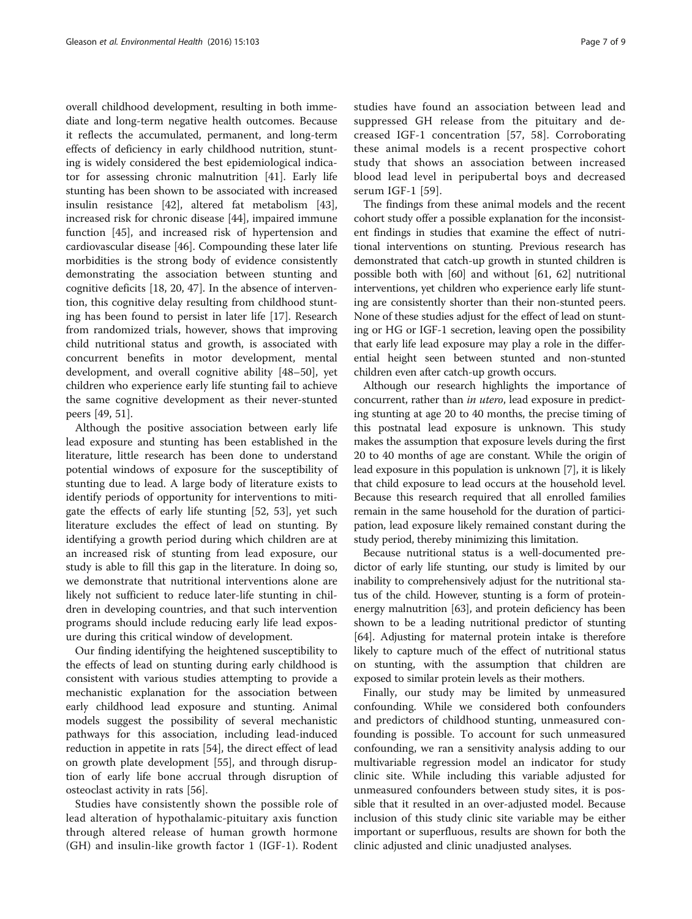overall childhood development, resulting in both immediate and long-term negative health outcomes. Because it reflects the accumulated, permanent, and long-term effects of deficiency in early childhood nutrition, stunting is widely considered the best epidemiological indicator for assessing chronic malnutrition [[41\]](#page-8-0). Early life stunting has been shown to be associated with increased insulin resistance [\[42\]](#page-8-0), altered fat metabolism [\[43](#page-8-0)], increased risk for chronic disease [\[44](#page-8-0)], impaired immune function [\[45](#page-8-0)], and increased risk of hypertension and cardiovascular disease [[46\]](#page-8-0). Compounding these later life morbidities is the strong body of evidence consistently demonstrating the association between stunting and cognitive deficits [[18,](#page-7-0) [20](#page-8-0), [47](#page-8-0)]. In the absence of intervention, this cognitive delay resulting from childhood stunting has been found to persist in later life [\[17](#page-7-0)]. Research from randomized trials, however, shows that improving child nutritional status and growth, is associated with concurrent benefits in motor development, mental development, and overall cognitive ability [[48](#page-8-0)–[50](#page-8-0)], yet children who experience early life stunting fail to achieve the same cognitive development as their never-stunted peers [\[49](#page-8-0), [51](#page-8-0)].

Although the positive association between early life lead exposure and stunting has been established in the literature, little research has been done to understand potential windows of exposure for the susceptibility of stunting due to lead. A large body of literature exists to identify periods of opportunity for interventions to mitigate the effects of early life stunting [\[52](#page-8-0), [53\]](#page-8-0), yet such literature excludes the effect of lead on stunting. By identifying a growth period during which children are at an increased risk of stunting from lead exposure, our study is able to fill this gap in the literature. In doing so, we demonstrate that nutritional interventions alone are likely not sufficient to reduce later-life stunting in children in developing countries, and that such intervention programs should include reducing early life lead exposure during this critical window of development.

Our finding identifying the heightened susceptibility to the effects of lead on stunting during early childhood is consistent with various studies attempting to provide a mechanistic explanation for the association between early childhood lead exposure and stunting. Animal models suggest the possibility of several mechanistic pathways for this association, including lead-induced reduction in appetite in rats [[54](#page-8-0)], the direct effect of lead on growth plate development [[55\]](#page-8-0), and through disruption of early life bone accrual through disruption of osteoclast activity in rats [[56\]](#page-8-0).

Studies have consistently shown the possible role of lead alteration of hypothalamic-pituitary axis function through altered release of human growth hormone (GH) and insulin-like growth factor 1 (IGF-1). Rodent

studies have found an association between lead and suppressed GH release from the pituitary and decreased IGF-1 concentration [\[57](#page-8-0), [58](#page-8-0)]. Corroborating these animal models is a recent prospective cohort study that shows an association between increased blood lead level in peripubertal boys and decreased serum IGF-1 [[59](#page-8-0)].

The findings from these animal models and the recent cohort study offer a possible explanation for the inconsistent findings in studies that examine the effect of nutritional interventions on stunting. Previous research has demonstrated that catch-up growth in stunted children is possible both with [[60](#page-8-0)] and without [\[61, 62\]](#page-8-0) nutritional interventions, yet children who experience early life stunting are consistently shorter than their non-stunted peers. None of these studies adjust for the effect of lead on stunting or HG or IGF-1 secretion, leaving open the possibility that early life lead exposure may play a role in the differential height seen between stunted and non-stunted children even after catch-up growth occurs.

Although our research highlights the importance of concurrent, rather than in utero, lead exposure in predicting stunting at age 20 to 40 months, the precise timing of this postnatal lead exposure is unknown. This study makes the assumption that exposure levels during the first 20 to 40 months of age are constant. While the origin of lead exposure in this population is unknown [\[7\]](#page-7-0), it is likely that child exposure to lead occurs at the household level. Because this research required that all enrolled families remain in the same household for the duration of participation, lead exposure likely remained constant during the study period, thereby minimizing this limitation.

Because nutritional status is a well-documented predictor of early life stunting, our study is limited by our inability to comprehensively adjust for the nutritional status of the child. However, stunting is a form of proteinenergy malnutrition [\[63\]](#page-8-0), and protein deficiency has been shown to be a leading nutritional predictor of stunting [[64](#page-8-0)]. Adjusting for maternal protein intake is therefore likely to capture much of the effect of nutritional status on stunting, with the assumption that children are exposed to similar protein levels as their mothers.

Finally, our study may be limited by unmeasured confounding. While we considered both confounders and predictors of childhood stunting, unmeasured confounding is possible. To account for such unmeasured confounding, we ran a sensitivity analysis adding to our multivariable regression model an indicator for study clinic site. While including this variable adjusted for unmeasured confounders between study sites, it is possible that it resulted in an over-adjusted model. Because inclusion of this study clinic site variable may be either important or superfluous, results are shown for both the clinic adjusted and clinic unadjusted analyses.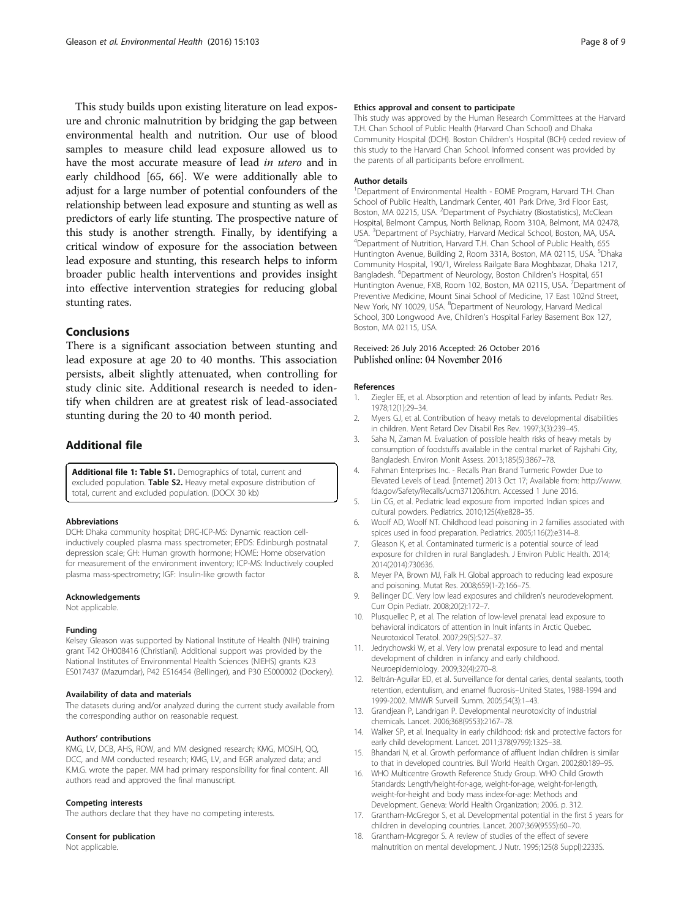<span id="page-7-0"></span>This study builds upon existing literature on lead exposure and chronic malnutrition by bridging the gap between environmental health and nutrition. Our use of blood samples to measure child lead exposure allowed us to have the most accurate measure of lead in utero and in early childhood [\[65, 66\]](#page-8-0). We were additionally able to adjust for a large number of potential confounders of the relationship between lead exposure and stunting as well as predictors of early life stunting. The prospective nature of this study is another strength. Finally, by identifying a critical window of exposure for the association between lead exposure and stunting, this research helps to inform broader public health interventions and provides insight into effective intervention strategies for reducing global stunting rates.

## Conclusions

There is a significant association between stunting and lead exposure at age 20 to 40 months. This association persists, albeit slightly attenuated, when controlling for study clinic site. Additional research is needed to identify when children are at greatest risk of lead-associated stunting during the 20 to 40 month period.

## Additional file

[Additional file 1: Table S1.](dx.doi.org/10.1186/s12940-016-0190-4) Demographics of total, current and excluded population. Table S2. Heavy metal exposure distribution of total, current and excluded population. (DOCX 30 kb)

#### Abbreviations

DCH: Dhaka community hospital; DRC-ICP-MS: Dynamic reaction cellinductively coupled plasma mass spectrometer; EPDS: Edinburgh postnatal depression scale; GH: Human growth hormone; HOME: Home observation for measurement of the environment inventory; ICP-MS: Inductively coupled plasma mass-spectrometry; IGF: Insulin-like growth factor

#### Acknowledgements

Not applicable.

#### Funding

Kelsey Gleason was supported by National Institute of Health (NIH) training grant T42 OH008416 (Christiani). Additional support was provided by the National Institutes of Environmental Health Sciences (NIEHS) grants K23 ES017437 (Mazumdar), P42 ES16454 (Bellinger), and P30 ES000002 (Dockery).

#### Availability of data and materials

The datasets during and/or analyzed during the current study available from the corresponding author on reasonable request.

#### Authors' contributions

KMG, LV, DCB, AHS, ROW, and MM designed research; KMG, MOSIH, QQ, DCC, and MM conducted research; KMG, LV, and EGR analyzed data; and K.M.G. wrote the paper. MM had primary responsibility for final content. All authors read and approved the final manuscript.

#### Competing interests

The authors declare that they have no competing interests.

#### Consent for publication

Not applicable.

#### Ethics approval and consent to participate

This study was approved by the Human Research Committees at the Harvard T.H. Chan School of Public Health (Harvard Chan School) and Dhaka Community Hospital (DCH). Boston Children's Hospital (BCH) ceded review of this study to the Harvard Chan School. Informed consent was provided by the parents of all participants before enrollment.

#### Author details

<sup>1</sup>Department of Environmental Health - EOME Program, Harvard T.H. Chan School of Public Health, Landmark Center, 401 Park Drive, 3rd Floor East, Boston, MA 02215, USA. <sup>2</sup>Department of Psychiatry (Biostatistics), McClean Hospital, Belmont Campus, North Belknap, Room 310A, Belmont, MA 02478, USA. <sup>3</sup> Department of Psychiatry, Harvard Medical School, Boston, MA, USA.<br><sup>4</sup> Department of Nutrition, Harvard T.H. Chan School of Public Health, 655. <sup>4</sup>Department of Nutrition, Harvard T.H. Chan School of Public Health, 655 Huntington Avenue, Building 2, Room 331A, Boston, MA 02115, USA. <sup>5</sup>Dhaka Community Hospital, 190/1, Wireless Railgate Bara Moghbazar, Dhaka 1217, Bangladesh. <sup>6</sup>Department of Neurology, Boston Children's Hospital, 651 Huntington Avenue, FXB, Room 102, Boston, MA 02115, USA. <sup>7</sup>Department of Preventive Medicine, Mount Sinai School of Medicine, 17 East 102nd Street, New York, NY 10029, USA. <sup>8</sup>Department of Neurology, Harvard Medical School, 300 Longwood Ave, Children's Hospital Farley Basement Box 127, Boston, MA 02115, USA.

## Received: 26 July 2016 Accepted: 26 October 2016<br>Published online: 04 November 2016

#### References

- Ziegler EE, et al. Absorption and retention of lead by infants. Pediatr Res. 1978;12(1):29–34.
- 2. Myers GJ, et al. Contribution of heavy metals to developmental disabilities in children. Ment Retard Dev Disabil Res Rev. 1997;3(3):239–45.
- 3. Saha N, Zaman M. Evaluation of possible health risks of heavy metals by consumption of foodstuffs available in the central market of Rajshahi City, Bangladesh. Environ Monit Assess. 2013;185(5):3867–78.
- 4. Fahman Enterprises Inc. Recalls Pran Brand Turmeric Powder Due to Elevated Levels of Lead. [Internet] 2013 Oct 17; Available from: [http://www.](http://www.fda.gov/Safety/Recalls/ucm371206.htm) [fda.gov/Safety/Recalls/ucm371206.htm.](http://www.fda.gov/Safety/Recalls/ucm371206.htm) Accessed 1 June 2016.
- 5. Lin CG, et al. Pediatric lead exposure from imported Indian spices and cultural powders. Pediatrics. 2010;125(4):e828–35.
- 6. Woolf AD, Woolf NT. Childhood lead poisoning in 2 families associated with spices used in food preparation. Pediatrics. 2005;116(2):e314–8.
- 7. Gleason K, et al. Contaminated turmeric is a potential source of lead exposure for children in rural Bangladesh. J Environ Public Health. 2014; 2014(2014):730636.
- 8. Meyer PA, Brown MJ, Falk H. Global approach to reducing lead exposure and poisoning. Mutat Res. 2008;659(1-2):166–75.
- 9. Bellinger DC. Very low lead exposures and children's neurodevelopment. Curr Opin Pediatr. 2008;20(2):172–7.
- 10. Plusquellec P, et al. The relation of low-level prenatal lead exposure to behavioral indicators of attention in Inuit infants in Arctic Quebec. Neurotoxicol Teratol. 2007;29(5):527–37.
- 11. Jedrychowski W, et al. Very low prenatal exposure to lead and mental development of children in infancy and early childhood. Neuroepidemiology. 2009;32(4):270–8.
- 12. Beltrán-Aguilar ED, et al. Surveillance for dental caries, dental sealants, tooth retention, edentulism, and enamel fluorosis–United States, 1988-1994 and 1999-2002. MMWR Surveill Summ. 2005;54(3):1–43.
- 13. Grandjean P, Landrigan P. Developmental neurotoxicity of industrial chemicals. Lancet. 2006;368(9553):2167–78.
- 14. Walker SP, et al. Inequality in early childhood: risk and protective factors for early child development. Lancet. 2011;378(9799):1325–38.
- 15. Bhandari N, et al. Growth performance of affluent Indian children is similar to that in developed countries. Bull World Health Organ. 2002;80:189–95.
- 16. WHO Multicentre Growth Reference Study Group. WHO Child Growth Standards: Length/height-for-age, weight-for-age, weight-for-length, weight-for-height and body mass index-for-age: Methods and Development. Geneva: World Health Organization; 2006. p. 312.
- 17. Grantham-McGregor S, et al. Developmental potential in the first 5 years for children in developing countries. Lancet. 2007;369(9555):60–70.
- 18. Grantham-Mcgregor S. A review of studies of the effect of severe malnutrition on mental development. J Nutr. 1995;125(8 Suppl):2233S.